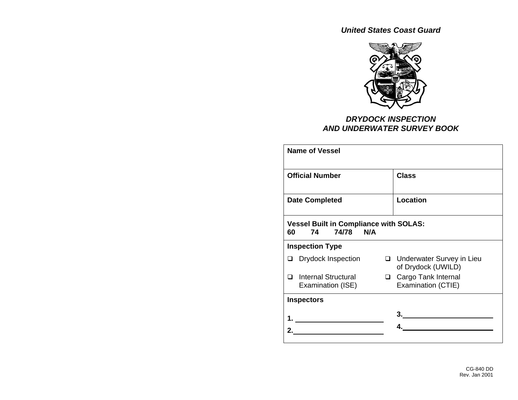*United States Coast Guard* 



## *DRYDOCK INSPECTION AND UNDERWATER SURVEY BOOK*

| <b>Name of Vessel</b>                                                  |          |                                                   |  |  |
|------------------------------------------------------------------------|----------|---------------------------------------------------|--|--|
| <b>Official Number</b>                                                 |          | <b>Class</b>                                      |  |  |
| <b>Date Completed</b>                                                  | Location |                                                   |  |  |
| <b>Vessel Built in Compliance with SOLAS:</b><br>74/78 N/A<br>74<br>60 |          |                                                   |  |  |
| <b>Inspection Type</b>                                                 |          |                                                   |  |  |
| <b>Drydock Inspection</b><br>◻                                         |          | □ Underwater Survey in Lieu<br>of Drydock (UWILD) |  |  |
| Internal Structural<br>□<br>Examination (ISE)                          |          | □ Cargo Tank Internal<br>Examination (CTIE)       |  |  |
| <b>Inspectors</b>                                                      |          |                                                   |  |  |
|                                                                        |          |                                                   |  |  |
|                                                                        |          |                                                   |  |  |
|                                                                        |          |                                                   |  |  |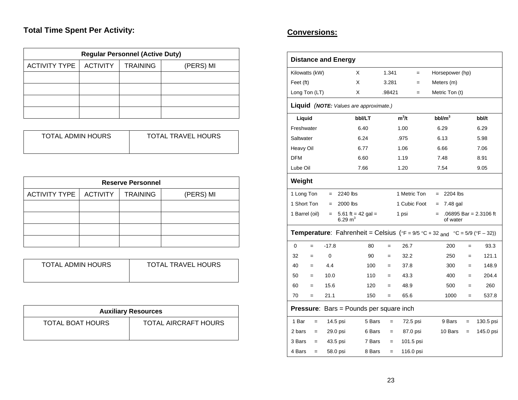# **Total Time Spent Per Activity:**

| <b>Regular Personnel (Active Duty)</b> |                 |                 |           |  |  |  |  |
|----------------------------------------|-----------------|-----------------|-----------|--|--|--|--|
| <b>ACTIVITY TYPE</b>                   | <b>ACTIVITY</b> | <b>TRAINING</b> | (PERS) MI |  |  |  |  |
|                                        |                 |                 |           |  |  |  |  |
|                                        |                 |                 |           |  |  |  |  |
|                                        |                 |                 |           |  |  |  |  |
|                                        |                 |                 |           |  |  |  |  |

| TOTAL ADMIN HOURS | <b>TOTAL TRAVEL HOURS</b> |
|-------------------|---------------------------|
|                   |                           |

| <b>Reserve Personnel</b> |                 |                 |           |  |  |  |  |
|--------------------------|-----------------|-----------------|-----------|--|--|--|--|
| <b>ACTIVITY TYPE</b>     | <b>ACTIVITY</b> | <b>TRAINING</b> | (PERS) MI |  |  |  |  |
|                          |                 |                 |           |  |  |  |  |
|                          |                 |                 |           |  |  |  |  |
|                          |                 |                 |           |  |  |  |  |
|                          |                 |                 |           |  |  |  |  |

|  | <b>TOTAL ADMIN HOURS</b><br><b>TOTAL TRAVEL HOURS</b> |
|--|-------------------------------------------------------|
|--|-------------------------------------------------------|

| <b>Auxiliary Resources</b> |                      |  |  |  |
|----------------------------|----------------------|--|--|--|
| <b>TOTAL BOAT HOURS</b>    | TOTAL AIRCRAFT HOURS |  |  |  |

# **Conversions:**

| <b>Distance and Energy</b> |                                                                                                                                      |                    |        |              |     |                 |     |                        |
|----------------------------|--------------------------------------------------------------------------------------------------------------------------------------|--------------------|--------|--------------|-----|-----------------|-----|------------------------|
| Kilowatts (kW)             |                                                                                                                                      | X                  | 1.341  | $=$          |     | Horsepower (hp) |     |                        |
| Feet (ft)                  |                                                                                                                                      | X                  | 3.281  | $=$          |     | Meters (m)      |     |                        |
| Long Ton (LT)              |                                                                                                                                      | X                  | .98421 | $=$          |     | Metric Ton (t)  |     |                        |
|                            | Liquid (NOTE: Values are approximate.)                                                                                               |                    |        |              |     |                 |     |                        |
| Liquid                     |                                                                                                                                      | bbl/LT             |        | $m^3/t$      |     | $bbl/m^3$       |     | bbl/t                  |
| Freshwater                 |                                                                                                                                      | 6.40               |        | 1.00         |     | 6.29            |     | 6.29                   |
| Saltwater                  |                                                                                                                                      | 6.24               |        | .975         |     | 6.13            |     | 5.98                   |
| Heavy Oil                  |                                                                                                                                      | 6.77               |        | 1.06         |     | 6.66            |     | 7.06                   |
| <b>DFM</b>                 |                                                                                                                                      | 6.60               |        | 1.19         |     | 7.48            |     | 8.91                   |
| Lube Oil                   |                                                                                                                                      | 7.66               |        | 1.20         |     | 7.54            |     | 9.05                   |
| Weight                     |                                                                                                                                      |                    |        |              |     |                 |     |                        |
| 1 Long Ton                 | 2240 lbs<br>$=$                                                                                                                      |                    |        | 1 Metric Ton | $=$ | 2204 lbs        |     |                        |
| 1 Short Ton                | 2000 lbs<br>$=$                                                                                                                      |                    |        | 1 Cubic Foot | $=$ | 7.48 gal        |     |                        |
| 1 Barrel (oil)             | $=$<br>6.29 $m3$                                                                                                                     | 5.61 ft = 42 gal = |        | 1 psi        | $=$ | of water        |     | .06895 Bar = 2.3106 ft |
|                            | <b>Temperature:</b> Fahrenheit = Celsius ( ${}^{\circ}$ F = 9/5 ${}^{\circ}$ C + 32 and ${}^{\circ}$ C = 5/9 ( ${}^{\circ}$ F - 32)) |                    |        |              |     |                 |     |                        |
| $\mathbf 0$<br>$=$         | $-17.8$                                                                                                                              | 80                 | $=$    | 26.7         |     | 200             | $=$ | 93.3                   |
| 32<br>$=$                  | 0                                                                                                                                    | 90                 | $=$    | 32.2         |     | 250             | $=$ | 121.1                  |
| 40<br>$=$                  | 4.4                                                                                                                                  | 100                | $=$    | 37.8         |     | 300             | $=$ | 148.9                  |
| 50<br>$=$                  | 10.0                                                                                                                                 | 110                | $=$    | 43.3         |     | 400             | $=$ | 204.4                  |
| 60<br>$=$                  | 15.6                                                                                                                                 | 120                | $=$    | 48.9         |     | 500             | $=$ | 260                    |
| 70<br>$=$                  | 21.1                                                                                                                                 | 150                | $=$    | 65.6         |     | 1000            | $=$ | 537.8                  |
|                            | <b>Pressure:</b> Bars = Pounds per square inch                                                                                       |                    |        |              |     |                 |     |                        |
| 1 Bar<br>$=$               | 14.5 psi                                                                                                                             | 5 Bars             | $=$    | 72.5 psi     |     | 9 Bars          | $=$ | 130.5 psi              |
| 2 bars<br>$=$              | 29.0 psi                                                                                                                             | 6 Bars             | $=$    | 87.0 psi     |     | 10 Bars         | $=$ | 145.0 psi              |
| 3 Bars<br>$=$              | 43.5 psi                                                                                                                             | 7 Bars             | $=$    | 101.5 psi    |     |                 |     |                        |
| 4 Bars<br>$=$              | 58.0 psi                                                                                                                             | 8 Bars             | $=$    | 116.0 psi    |     |                 |     |                        |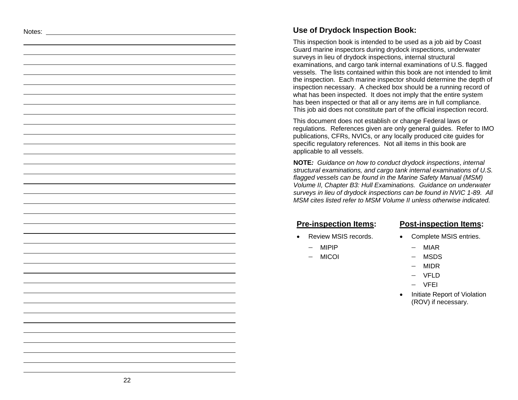#### Notes: **Use of Drydock Inspection Book:**

This inspection book is intended to be used as a job aid by Coast Guard marine inspectors during drydock inspections, underwater surveys in lieu of drydock inspections, internal structural examinations, and cargo tank internal examinations of U.S. flagged vessels. The lists contained within this book are not intended to limit the inspection. Each marine inspector should determine the depth of inspection necessary. A checked box should be a running record of what has been inspected. It does not imply that the entire system has been inspected or that all or any items are in full compliance. This job aid does not constitute part of the official inspection record.

This document does not establish or change Federal laws or regulations. References given are only general guides. Refer to IMO publications, CFRs, NVICs, or any locally produced cite guides for specific regulatory references. Not all items in this book are applicable to all vessels.

**NOTE***: Guidance on how to conduct drydock inspections*, *internal structural examinations, and cargo tank internal examinations of U.S. flagged vessels can be found in the Marine Safety Manual (MSM) Volume II, Chapter B3: Hull Examinations. Guidance on underwater surveys in lieu of drydock inspections can be found in NVIC 1-89. All MSM cites listed refer to MSM Volume II unless otherwise indicated.* 

- 
- −MIPIP

•

MICOI

#### **Pre-inspection Items: Post-inspection Items:**

- Review MSIS records. Complete MSIS entries.
	- − MIAR
	- − MSDS
	- − MIDR
	- − VFLD
	- − VFEI
	- • Initiate Report of Violation (ROV) if necessary.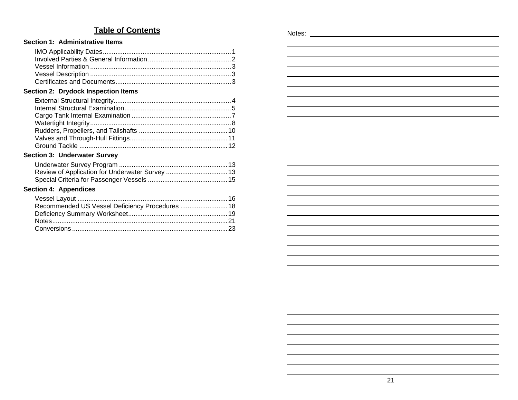## **Table of Contents**

#### **Section 1: Administrative Items**

#### **Section 2: Drydock Inspection Items**

#### **Section 3: Underwater Survey**

| ection 4: Appendices |  |
|----------------------|--|

## **Section 4: App**

| Recommended US Vessel Deficiency Procedures  18 |  |
|-------------------------------------------------|--|
|                                                 |  |
|                                                 |  |
|                                                 |  |

| Notes: |  |  |  |
|--------|--|--|--|
|        |  |  |  |
|        |  |  |  |
|        |  |  |  |
|        |  |  |  |
|        |  |  |  |
|        |  |  |  |
|        |  |  |  |
|        |  |  |  |
|        |  |  |  |
|        |  |  |  |
|        |  |  |  |
|        |  |  |  |
|        |  |  |  |
|        |  |  |  |
|        |  |  |  |
|        |  |  |  |
|        |  |  |  |
|        |  |  |  |
|        |  |  |  |
|        |  |  |  |
|        |  |  |  |
|        |  |  |  |
|        |  |  |  |
|        |  |  |  |
|        |  |  |  |
|        |  |  |  |
|        |  |  |  |
|        |  |  |  |
|        |  |  |  |
|        |  |  |  |
|        |  |  |  |
|        |  |  |  |
|        |  |  |  |
|        |  |  |  |
|        |  |  |  |
|        |  |  |  |
|        |  |  |  |
|        |  |  |  |
|        |  |  |  |
|        |  |  |  |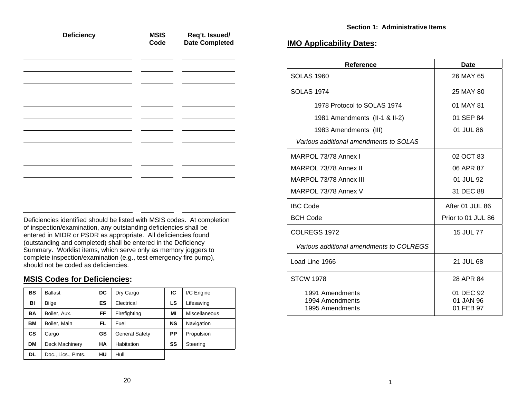|  | Code | <b>Date Completed</b> | <b>IMO Applicability Dates:</b> |
|--|------|-----------------------|---------------------------------|
|--|------|-----------------------|---------------------------------|

| <b>Reference</b>                                      | <b>Date</b>                         |
|-------------------------------------------------------|-------------------------------------|
| <b>SOLAS 1960</b>                                     | 26 MAY 65                           |
| <b>SOLAS 1974</b>                                     | 25 MAY 80                           |
| 1978 Protocol to SOLAS 1974                           | 01 MAY 81                           |
| 1981 Amendments (II-1 & II-2)                         | 01 SEP 84                           |
| 1983 Amendments (III)                                 | 01 JUL 86                           |
| Various additional amendments to SOLAS                |                                     |
| MARPOL 73/78 Annex I                                  | 02 OCT 83                           |
| MARPOL 73/78 Annex II                                 | 06 APR 87                           |
| MARPOL 73/78 Annex III                                | 01 JUL 92                           |
| MARPOL 73/78 Annex V                                  | 31 DEC 88                           |
| <b>IBC Code</b>                                       | After 01 JUL 86                     |
| <b>BCH Code</b>                                       | Prior to 01 JUL 86                  |
| COLREGS 1972                                          | 15 JUL 77                           |
| Various additional amendments to COLREGS              |                                     |
| Load Line 1966                                        | 21 JUL 68                           |
| <b>STCW 1978</b>                                      | 28 APR 84                           |
| 1991 Amendments<br>1994 Amendments<br>1995 Amendments | 01 DEC 92<br>01 JAN 96<br>01 FEB 97 |

| <b>Deficiency</b> | <b>MSIS</b><br>Code | Req't. Issued/<br><b>Date Completed</b> |
|-------------------|---------------------|-----------------------------------------|
|                   |                     |                                         |
|                   |                     |                                         |
|                   |                     |                                         |
|                   |                     |                                         |
|                   |                     |                                         |
|                   |                     |                                         |
|                   |                     |                                         |

Deficiencies identified should be listed with MSIS codes. At completion of inspection/examination, any outstanding deficiencies shall be entered in MIDR or PSDR as appropriate. All deficiencies found (outstanding and completed) shall be entered in the Deficiency Summary. Worklist items, which serve only as memory joggers to complete inspection/examination (e.g., test emergency fire pump), should not be coded as deficiencies.

#### **MSIS Codes for Deficiencies:**

| <b>BS</b> | <b>Ballast</b>     | DC | Dry Cargo             | IC        | I/C Engine    |
|-----------|--------------------|----|-----------------------|-----------|---------------|
| BI        | Bilge              | ES | Electrical            | LS        | Lifesaving    |
| <b>BA</b> | Boiler, Aux.       | FF | Firefighting          | MI        | Miscellaneous |
| ВM        | Boiler, Main       | FL | Fuel                  | <b>NS</b> | Navigation    |
| <b>CS</b> | Cargo              | GS | <b>General Safety</b> | PP        | Propulsion    |
| <b>DM</b> | Deck Machinery     | НA | Habitation            | SS        | Steering      |
| DL        | Doc., Lics., Pmts. | HU | Hull                  |           |               |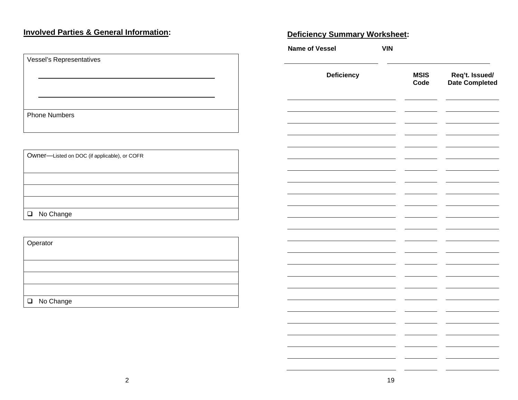# **Involved Parties & General Information: Network of the Summary Worksheet: Deficiency Summary Worksheet:**

| Vessel's Representatives |  |  |  |  |
|--------------------------|--|--|--|--|
|                          |  |  |  |  |
|                          |  |  |  |  |
|                          |  |  |  |  |
|                          |  |  |  |  |
|                          |  |  |  |  |
| <b>Phone Numbers</b>     |  |  |  |  |
|                          |  |  |  |  |
|                          |  |  |  |  |

| Owner-Listed on DOC (if applicable), or COFR |  |  |  |
|----------------------------------------------|--|--|--|
|                                              |  |  |  |
|                                              |  |  |  |
|                                              |  |  |  |
|                                              |  |  |  |
| □ No Change                                  |  |  |  |
|                                              |  |  |  |

| Operator    |  |  |  |
|-------------|--|--|--|
|             |  |  |  |
|             |  |  |  |
|             |  |  |  |
|             |  |  |  |
| □ No Change |  |  |  |

| <b>Name of Vessel</b> | <b>VIN</b> |                     |                                  |
|-----------------------|------------|---------------------|----------------------------------|
| Deficiency            |            | <b>MSIS</b><br>Code | Req't. Issued/<br>Date Completed |
|                       |            |                     |                                  |
|                       |            |                     |                                  |
|                       |            |                     |                                  |
|                       |            |                     |                                  |
|                       |            |                     |                                  |
|                       |            |                     |                                  |
|                       |            |                     |                                  |
|                       |            |                     |                                  |
|                       |            |                     |                                  |
|                       |            |                     |                                  |
|                       |            |                     |                                  |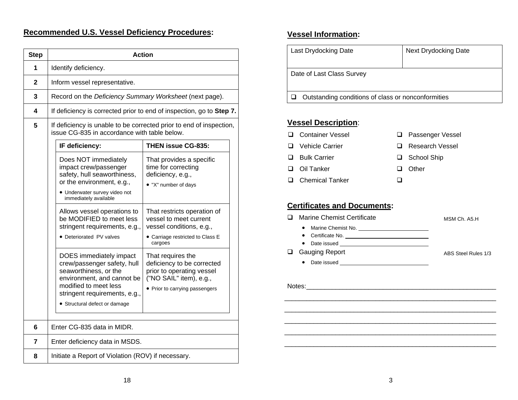## **Recommended U.S. Vessel Deficiency Procedures:**

| <b>Step</b>  | <b>Action</b>                                                                                                                                                                                            |                                                                                                                                           |  |  |  |  |
|--------------|----------------------------------------------------------------------------------------------------------------------------------------------------------------------------------------------------------|-------------------------------------------------------------------------------------------------------------------------------------------|--|--|--|--|
| 1            | Identify deficiency.                                                                                                                                                                                     |                                                                                                                                           |  |  |  |  |
| $\mathbf{2}$ | Inform vessel representative.                                                                                                                                                                            |                                                                                                                                           |  |  |  |  |
| 3            | Record on the Deficiency Summary Worksheet (next page).                                                                                                                                                  |                                                                                                                                           |  |  |  |  |
| 4            | If deficiency is corrected prior to end of inspection, go to Step 7.                                                                                                                                     |                                                                                                                                           |  |  |  |  |
| 5            | If deficiency is unable to be corrected prior to end of inspection,<br>issue CG-835 in accordance with table below.                                                                                      |                                                                                                                                           |  |  |  |  |
|              | IF deficiency:                                                                                                                                                                                           | <b>THEN issue CG-835:</b>                                                                                                                 |  |  |  |  |
|              | Does NOT immediately<br>impact crew/passenger<br>safety, hull seaworthiness,<br>or the environment, e.g.,<br>· Underwater survey video not<br>immediately available                                      | That provides a specific<br>time for correcting<br>deficiency, e.g.,<br>. "X" number of days                                              |  |  |  |  |
|              | Allows vessel operations to<br>be MODIFIED to meet less<br>stringent requirements, e.g.,<br>· Deteriorated PV valves                                                                                     | That restricts operation of<br>vessel to meet current<br>vessel conditions, e.g.,<br>• Carriage restricted to Class E<br>cargoes          |  |  |  |  |
|              | DOES immediately impact<br>crew/passenger safety, hull<br>seaworthiness, or the<br>environment, and cannot be<br>modified to meet less<br>stringent requirements, e.g.,<br>· Structural defect or damage | That requires the<br>deficiency to be corrected<br>prior to operating vessel<br>("NO SAIL" item), e.g.,<br>• Prior to carrying passengers |  |  |  |  |
| 6            | Enter CG-835 data in MIDR.                                                                                                                                                                               |                                                                                                                                           |  |  |  |  |
| 7            | Enter deficiency data in MSDS.                                                                                                                                                                           |                                                                                                                                           |  |  |  |  |
| 8            | Initiate a Report of Violation (ROV) if necessary.                                                                                                                                                       |                                                                                                                                           |  |  |  |  |

## **Vessel Information:**

| Last Drydocking Date                               | Next Drydocking Date |  |  |
|----------------------------------------------------|----------------------|--|--|
| Date of Last Class Survey                          |                      |  |  |
| Outstanding conditions of class or nonconformities |                      |  |  |

#### **Vessel Description**:

- **Q** Container Vessel
- **Q** Passenger Vessel
- **Q** Vehicle Carrier
- **□** Bulk Carrier
- **□** Oil Tanker
- **□** Chemical Tanker
- 
- **Research Vessel**
- School Ship
- **□** Other
- $\Box$

## **Certificates and Documents:**

| Marine Chemist Certificate<br>$\bullet$<br>$\bullet$ | MSM Ch. A5.H        |
|------------------------------------------------------|---------------------|
| <b>Gauging Report</b><br>٠                           | ABS Steel Rules 1/3 |
| Notes: Notes:                                        |                     |
|                                                      |                     |
|                                                      |                     |

\_\_\_\_\_\_\_\_\_\_\_\_\_\_\_\_\_\_\_\_\_\_\_\_\_\_\_\_\_\_\_\_\_\_\_\_\_\_\_\_\_\_\_\_\_\_\_\_\_\_\_\_\_\_\_\_\_\_  $\overline{\phantom{a}}$  , and the contract of the contract of the contract of the contract of the contract of the contract of the contract of the contract of the contract of the contract of the contract of the contract of the contrac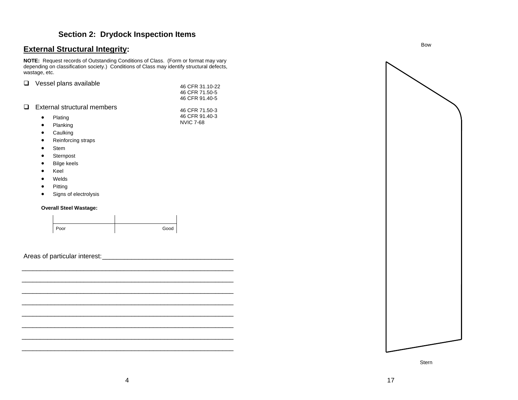## <span id="page-7-0"></span>**External Structural Integrity:**

**NOTE:** Request records of Outstanding Conditions of Class. (Form or format may vary depending on classification society.) Conditions of Class may identify structural defects, wastage, etc.

|        |           | $\Box$ Vessel plans available |                  |
|--------|-----------|-------------------------------|------------------|
|        |           |                               | 46 CFR 31.10-22  |
|        |           |                               | 46 CFR 71.50-5   |
|        |           |                               | 46 CFR 91.40-5   |
| $\Box$ |           | External structural members   |                  |
|        |           |                               | 46 CFR 71.50-3   |
|        |           | Plating                       | 46 CFR 91.40-3   |
|        | $\bullet$ | Dlonking                      | <b>NVIC 7-68</b> |

- •Planking
- •Caulking
- $\bullet$ Reinforcing straps
- •Stem
- $\bullet$ Sternpost
- $\bullet$ Bilge keels
- •Keel
- •Welds
- •Pitting
- •Signs of electrolysis

#### **Overall Steel Wastage:**



 $\frac{1}{\sqrt{2}}$  ,  $\frac{1}{\sqrt{2}}$  ,  $\frac{1}{\sqrt{2}}$  ,  $\frac{1}{\sqrt{2}}$  ,  $\frac{1}{\sqrt{2}}$  ,  $\frac{1}{\sqrt{2}}$  ,  $\frac{1}{\sqrt{2}}$  ,  $\frac{1}{\sqrt{2}}$  ,  $\frac{1}{\sqrt{2}}$  ,  $\frac{1}{\sqrt{2}}$  ,  $\frac{1}{\sqrt{2}}$  ,  $\frac{1}{\sqrt{2}}$  ,  $\frac{1}{\sqrt{2}}$  ,  $\frac{1}{\sqrt{2}}$  ,  $\frac{1}{\sqrt{2}}$ 

Areas of particular interest:



Stern

 $-$  . The contract of the contract of the contract of the contract of the contract of the contract of the contract of the contract of the contract of the contract of the contract of the contract of the contract of the con  $\mathcal{L}_\text{max}$  and the contract of the contract of the contract of the contract of the contract of the contract of

 $-$  . The contract of the contract of the contract of the contract of the contract of the contract of the contract of the contract of the contract of the contract of the contract of the contract of the contract of the con  $\mathcal{L}_\text{max}$  and the contract of the contract of the contract of the contract of the contract of the contract of

 $-$  . The contract of the contract of the contract of the contract of the contract of the contract of the contract of the contract of the contract of the contract of the contract of the contract of the contract of the con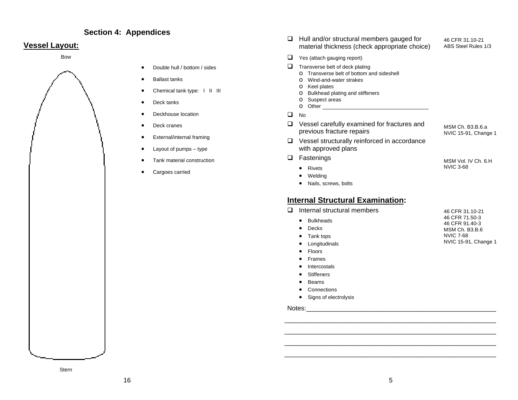#### **Section 4: Appendices**

#### <span id="page-8-0"></span>**Vessel Layout:**

Bow



- •Double hull / bottom / sides
- •Ballast tanks
- •Chemical tank type: I II III
- •Deck tanks
- •Deckhouse location
- •Deck cranes
- •External/internal framing
- •Layout of pumps – type
- •Tank material construction
- •Cargoes carried
- $\Box$  Hull and/or structural members gauged for  $46$  CFR 31.10-21 material thickness (check appropriate choice) ABS Steel Rules 1/3
- $\Box$  Yes (attach gauging report)
- $\Box$  Transverse belt of deck plating
	- o Transverse belt of bottom and sideshell
	- o Wind-and-water strakes
	- o Keel plates
	- o Bulkhead plating and stiffeners
	- o Suspect areas o Other
- $\Box$ No
- $\Box$  Vessel carefully examined for fractures and MSM Ch. B3.B.6.a previous fracture repairs NVIC 15-91, Change 1

46 CFR 31.10-21

- **□** Vessel structurally reinforced in accordance with approved plans
- **D** Fastenings **MSM** Vol. IV Ch. 6.H
	- Rivets NVIC 3-68
	- •Welding
	- Nails, screws, bolts

#### **Internal Structural Examination:**

|  | Internal structural members |  |
|--|-----------------------------|--|
|  |                             |  |

|                 | 46 CFR 71.50-3       |
|-----------------|----------------------|
| • Bulkheads     | 46 CFR 91.40-3       |
| $\bullet$ Decks | MSM Ch. B3.B.6       |
| • Tank tops     | NVIC 7-68            |
| • Longitudinals | NVIC 15-91, Change 1 |
| - Flasse        |                      |

- •Floors
- •Frames
- •Intercostals
- •**Stiffeners**
- •Beams
- Connections
- Signs of electrolysis

#### Notes:\_\_\_\_\_\_\_\_\_\_\_\_\_\_\_\_\_\_\_\_\_\_\_\_\_\_\_\_\_\_\_\_\_\_\_\_\_\_\_\_\_\_\_\_\_\_\_\_\_\_\_\_

\_\_\_\_\_\_\_\_\_\_\_\_\_\_\_\_\_\_\_\_\_\_\_\_\_\_\_\_\_\_\_\_\_\_\_\_\_\_\_\_\_\_\_\_\_\_\_\_\_\_\_\_\_\_\_\_\_\_

\_\_\_\_\_\_\_\_\_\_\_\_\_\_\_\_\_\_\_\_\_\_\_\_\_\_\_\_\_\_\_\_\_\_\_\_\_\_\_\_\_\_\_\_\_\_\_\_\_\_\_\_\_\_\_\_\_\_  $\overline{\phantom{a}}$  , and the contract of the contract of the contract of the contract of the contract of the contract of the contract of the contract of the contract of the contract of the contract of the contract of the contrac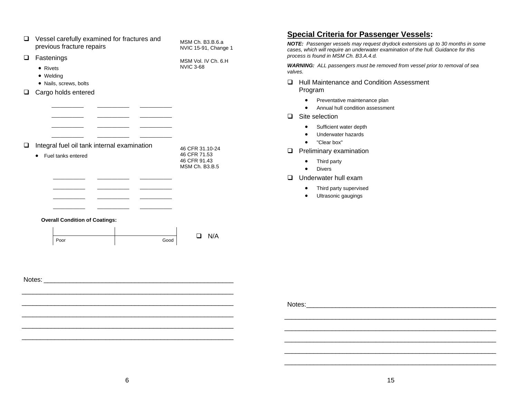<span id="page-9-0"></span>

|                                                                                 |                                             |                                          | <b>Special Criteria for Passenger Vessels:</b>                                                                                                                                                                |  |  |
|---------------------------------------------------------------------------------|---------------------------------------------|------------------------------------------|---------------------------------------------------------------------------------------------------------------------------------------------------------------------------------------------------------------|--|--|
| $\Box$ Vessel carefully examined for fractures and<br>previous fracture repairs |                                             | MSM Ch. B3.B.6.a<br>NVIC 15-91, Change 1 | NOTE: Passenger vessels may request drydock extensions up to 30 months in some<br>cases, which will require an underwater examination of the hull. Guidance for this<br>process is found in MSM Ch. B3.A.4.d. |  |  |
| $\Box$ Fastenings<br>• Rivets<br>• Welding                                      |                                             | MSM Vol. IV Ch. 6.H<br><b>NVIC 3-68</b>  | WARNING: ALL passengers must be removed from vessel prior to removal of sea<br>valves.                                                                                                                        |  |  |
| • Nails, screws, bolts<br>□ Cargo holds entered                                 |                                             |                                          | Hull Maintenance and Condition Assessment<br>Program                                                                                                                                                          |  |  |
|                                                                                 |                                             |                                          | Preventative maintenance plan<br>$\bullet$<br>Annual hull condition assessment<br>$\bullet$                                                                                                                   |  |  |
|                                                                                 |                                             |                                          | $\Box$ Site selection                                                                                                                                                                                         |  |  |
|                                                                                 |                                             |                                          | Sufficient water depth<br>$\bullet$<br>Underwater hazards<br>$\bullet$<br>"Clear box"<br>$\bullet$                                                                                                            |  |  |
| $\Box$<br>• Fuel tanks entered                                                  | Integral fuel oil tank internal examination | 46 CFR 31.10-24<br>46 CFR 71.53          | $\Box$ Preliminary examination                                                                                                                                                                                |  |  |
|                                                                                 |                                             | 46 CFR 91.43<br>MSM Ch. B3.B.5           | Third party<br>$\bullet$<br><b>Divers</b><br>$\bullet$                                                                                                                                                        |  |  |
|                                                                                 |                                             |                                          | $\Box$<br>Underwater hull exam                                                                                                                                                                                |  |  |
|                                                                                 |                                             |                                          | Third party supervised<br>$\bullet$<br>Ultrasonic gaugings<br>$\bullet$                                                                                                                                       |  |  |
|                                                                                 | <b>Overall Condition of Coatings:</b>       |                                          |                                                                                                                                                                                                               |  |  |
| Poor                                                                            | Good                                        | $\Box$ N/A                               |                                                                                                                                                                                                               |  |  |
|                                                                                 |                                             |                                          |                                                                                                                                                                                                               |  |  |
|                                                                                 |                                             |                                          |                                                                                                                                                                                                               |  |  |
|                                                                                 |                                             |                                          |                                                                                                                                                                                                               |  |  |
|                                                                                 |                                             |                                          |                                                                                                                                                                                                               |  |  |
|                                                                                 |                                             |                                          |                                                                                                                                                                                                               |  |  |
|                                                                                 |                                             |                                          |                                                                                                                                                                                                               |  |  |
|                                                                                 |                                             |                                          |                                                                                                                                                                                                               |  |  |

\_\_\_\_\_\_\_\_\_\_\_\_\_\_\_\_\_\_\_\_\_\_\_\_\_\_\_\_\_\_\_\_\_\_\_\_\_\_\_\_\_\_\_\_\_\_\_\_\_\_\_\_\_\_\_\_\_\_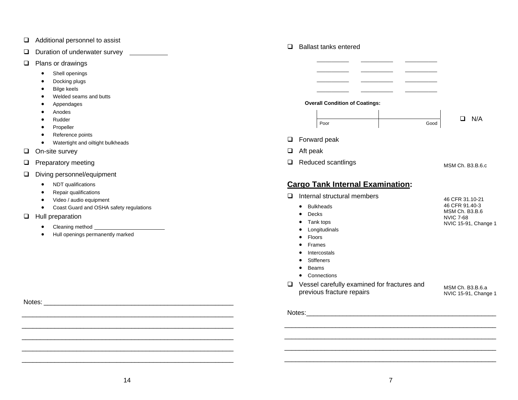- □ Additional personnel to assist
- $\Box$ Duration of underwater survey
- $\Box$  Plans or drawings
	- •Shell openings
	- •Docking plugs
	- •Bilge keels
	- •Welded seams and butts
	- •Appendages
	- •Anodes
	- •Rudder
	- •Propeller
	- •Reference points
	- •Watertight and oiltight bulkheads
- On-site survey
- $\Box$  Preparatory meeting
- Diving personnel/equipment
	- •NDT qualifications
	- •Repair qualifications
	- Video / audio equipment
	- Coast Guard and OSHA safety regulations
- **Hull preparation** 
	- •Cleaning method
	- •Hull openings permanently marked

|   | <b>Ballast tanks entered</b>          |      |                  |
|---|---------------------------------------|------|------------------|
|   |                                       |      |                  |
|   |                                       |      |                  |
|   |                                       |      |                  |
|   |                                       |      |                  |
|   | <b>Overall Condition of Coatings:</b> |      |                  |
|   |                                       |      |                  |
|   | Poor                                  | Good | N/A<br>П         |
|   | $\Box$ Forward peak                   |      |                  |
| u | Aft peak                              |      |                  |
|   | Reduced scantlings                    |      | MSM Ch. B3.B.6.c |

#### **Cargo Tank Internal Examination:**

- $\Box$  Internal structural members
	- Bulkheads
- 46 CFR 91.40-3 MSM Ch. B3.B.6 NVIC 7-68 NVIC 15-91, Change 1
	- Tank tops •Longitudinals
	- Floors

• Decks

- •Frames
- Intercostals
- •**Stiffeners**
- Beams
- Connections
- Vessel carefully examined for fractures and previous fracture repairs

MSM Ch. B3.B.6.a NVIC 15-91, Change 1

46 CFR 31.10-21

Notes:

 $-$  . The contract of the contract of the contract of the contract of the contract of the contract of the contract of the contract of the contract of the contract of the contract of the contract of the contract of the con \_\_\_\_\_\_\_\_\_\_\_\_\_\_\_\_\_\_\_\_\_\_\_\_\_\_\_\_\_\_\_\_\_\_\_\_\_\_\_\_\_\_\_\_\_\_\_\_\_\_\_\_\_\_\_\_\_\_

Notes: \_\_\_\_\_\_\_\_\_\_\_\_\_\_\_\_\_\_\_\_\_\_\_\_\_\_\_\_\_\_\_\_\_\_\_\_\_\_\_\_\_\_\_\_\_\_\_\_\_\_\_\_

 $-$  . The contract of the contract of the contract of the contract of the contract of the contract of the contract of the contract of the contract of the contract of the contract of the contract of the contract of the con \_\_\_\_\_\_\_\_\_\_\_\_\_\_\_\_\_\_\_\_\_\_\_\_\_\_\_\_\_\_\_\_\_\_\_\_\_\_\_\_\_\_\_\_\_\_\_\_\_\_\_\_\_\_\_\_\_\_ \_\_\_\_\_\_\_\_\_\_\_\_\_\_\_\_\_\_\_\_\_\_\_\_\_\_\_\_\_\_\_\_\_\_\_\_\_\_\_\_\_\_\_\_\_\_\_\_\_\_\_\_\_\_\_\_\_\_  $\overline{\phantom{a}}$  , and the contract of the contract of the contract of the contract of the contract of the contract of the contract of the contract of the contract of the contract of the contract of the contract of the contrac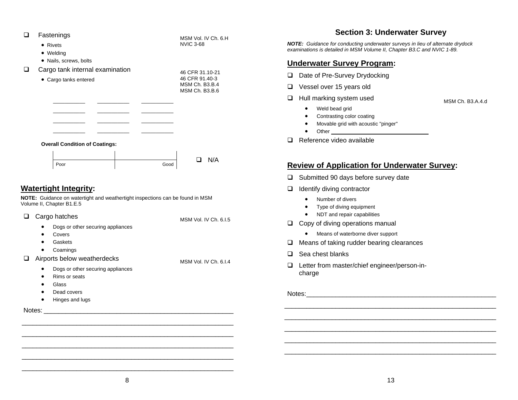<span id="page-11-0"></span>

| □<br>Fastenings                                                                                                                                                                            | MSM Vol. IV Ch. 6.H               | Section 5: Underwater Survey                                                                                                                                                                                              |  |
|--------------------------------------------------------------------------------------------------------------------------------------------------------------------------------------------|-----------------------------------|---------------------------------------------------------------------------------------------------------------------------------------------------------------------------------------------------------------------------|--|
| • Rivets<br>• Welding                                                                                                                                                                      | <b>NVIC 3-68</b>                  | <b>NOTE:</b> Guidance for conducting underwater surveys in lieu of alternate drydock<br>examinations is detailed in MSM Volume II, Chapter B3.C and NVIC 1-89.                                                            |  |
| · Nails, screws, bolts                                                                                                                                                                     |                                   | <b>Underwater Survey Program:</b>                                                                                                                                                                                         |  |
| Cargo tank internal examination<br>□                                                                                                                                                       | 46 CFR 31.10-21<br>46 CFR 91.40-3 | Date of Pre-Survey Drydocking<br>❏.                                                                                                                                                                                       |  |
| • Cargo tanks entered                                                                                                                                                                      | MSM Ch. B3.B.4                    | Vessel over 15 years old<br>$\Box$                                                                                                                                                                                        |  |
|                                                                                                                                                                                            | MSM Ch. B3.B.6                    | Hull marking system used<br>❏                                                                                                                                                                                             |  |
|                                                                                                                                                                                            |                                   | MSM Ch. B3.A.4.d<br>Weld bead grid<br>$\bullet$<br>Contrasting color coating<br>Movable grid with acoustic "pinger"<br>$\bullet$                                                                                          |  |
| <b>Overall Condition of Coatings:</b>                                                                                                                                                      |                                   | Reference video available<br>◻                                                                                                                                                                                            |  |
| Poor                                                                                                                                                                                       | N/A<br>$\Box$<br>Good             | <b>Review of Application for Underwater Survey:</b>                                                                                                                                                                       |  |
|                                                                                                                                                                                            |                                   | Submitted 90 days before survey date<br>❏                                                                                                                                                                                 |  |
| <b>Watertight Integrity:</b>                                                                                                                                                               |                                   | Identify diving contractor<br>❏                                                                                                                                                                                           |  |
| NOTE: Guidance on watertight and weathertight inspections can be found in MSM<br>Volume II, Chapter B1.E.5<br>Cargo hatches<br>□<br>Dogs or other securing appliances<br>Covers<br>Gaskets | MSM Vol. IV Ch. 6.I.5             | Number of divers<br>Type of diving equipment<br>NDT and repair capabilities<br>Copy of diving operations manual<br>Q.<br>Means of waterborne diver support<br>$\bullet$<br>Means of taking rudder bearing clearances<br>❏ |  |
| Coamings<br>$\bullet$<br>Airports below weatherdecks<br>□                                                                                                                                  |                                   | Sea chest blanks<br>$\Box$                                                                                                                                                                                                |  |
| Dogs or other securing appliances<br>$\bullet$<br>Rims or seats<br>Glass                                                                                                                   | MSM Vol. IV Ch. 6.I.4             | Letter from master/chief engineer/person-in-<br>❏<br>charge                                                                                                                                                               |  |
| Dead covers<br>Hinges and lugs                                                                                                                                                             |                                   |                                                                                                                                                                                                                           |  |
|                                                                                                                                                                                            |                                   |                                                                                                                                                                                                                           |  |
|                                                                                                                                                                                            |                                   |                                                                                                                                                                                                                           |  |
|                                                                                                                                                                                            |                                   |                                                                                                                                                                                                                           |  |
|                                                                                                                                                                                            |                                   |                                                                                                                                                                                                                           |  |

# **Section 3: Underwater Survey**

## <u>am:</u>

## **Underwater Survey:**

- subset date
- anual
	- support
- ing clearances
- ineer/person-in-

 $-$  . The contract of the contract of the contract of the contract of the contract of the contract of the contract of the contract of the contract of the contract of the contract of the contract of the contract of the con

\_\_\_\_\_\_\_\_\_\_\_\_\_\_\_\_\_\_\_\_\_\_\_\_\_\_\_\_\_\_\_\_\_\_\_\_\_\_\_\_\_\_\_\_\_\_\_\_\_\_\_\_\_\_\_\_\_\_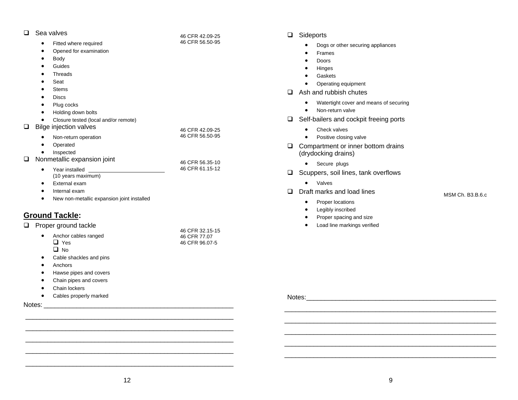<span id="page-12-0"></span>

| Sea valves<br>❏.<br>Fitted where required<br>$\bullet$<br>Opened for examination<br>$\bullet$<br>Body<br>$\bullet$<br>Guides<br>٠<br>Threads<br>Seat<br><b>Stems</b><br><b>Discs</b>                                                                                            | 46 CFR 42.09-25<br>46 CFR 56.50-95 | Sideports<br>$\Box$<br>Dogs or other securing appliances<br>Frames<br>$\bullet$<br><b>Doors</b><br>$\bullet$<br>Hinges<br>Gaskets<br>Operating equipment<br>Ash and rubbish chutes<br>$\Box$ |
|---------------------------------------------------------------------------------------------------------------------------------------------------------------------------------------------------------------------------------------------------------------------------------|------------------------------------|----------------------------------------------------------------------------------------------------------------------------------------------------------------------------------------------|
| Plug cocks<br>$\bullet$<br>Holding down bolts<br>$\bullet$<br>Closure tested (local and/or remote)<br>$\bullet$<br>Bilge injection valves<br>0                                                                                                                                  | 46 CFR 42.09-25                    | Watertight cover and means of securing<br>$\bullet$<br>Non-return valve<br>$\bullet$<br>Self-bailers and cockpit freeing ports<br>$\Box$<br>Check valves                                     |
| Non-return operation<br>Operated<br>Inspected<br>$\bullet$<br>Nonmetallic expansion joint<br>$\Box$                                                                                                                                                                             | 46 CFR 56.50-95                    | Positive closing valve<br>Compartment or inner bottom drains<br>$\Box$<br>(drydocking drains)                                                                                                |
| Year installed<br>$\bullet$<br>$(10 \text{ years maximum})$<br>External exam<br>$\bullet$<br>Internal exam<br>$\bullet$<br>New non-metallic expansion joint installed<br>$\bullet$                                                                                              | 46 CFR 56.35-10<br>46 CFR 61.15-12 | • Secure plugs<br>Scuppers, soil lines, tank overflows<br>$\Box$<br>Valves<br>$\bullet$<br>Draft marks and load lines<br>$\Box$<br>MSM Ch. B3.B.6.c<br>Proper locations                      |
| <b>Ground Tackle:</b><br>$\Box$ Proper ground tackle                                                                                                                                                                                                                            | 46 CFR 32.15-15                    | Legibly inscribed<br>Proper spacing and size<br>Load line markings verified                                                                                                                  |
| Anchor cables ranged<br>$\bullet$<br>$\Box$ Yes<br>$\Box$ No<br>Cable shackles and pins<br>$\bullet$<br>Anchors<br>$\bullet$<br>Hawse pipes and covers<br>$\bullet$<br>Chain pipes and covers<br>$\bullet$<br>Chain lockers<br>$\bullet$<br>Cables properly marked<br>$\bullet$ | 46 CFR 77.07<br>46 CFR 96.07-5     | Notes:                                                                                                                                                                                       |
| Notes:                                                                                                                                                                                                                                                                          |                                    |                                                                                                                                                                                              |

#### ideports

- •Dogs or other securing appliances
- •Frames
- •Doors
- •Hinges
- •Gaskets
- •Operating equipment
- sh and rubbish chutes
	- Watertight cover and means of securing
	- •Non-return valve
- elf-bailers and cockpit freeing ports
	- Check valves
	- •Positive closing valve
- ompartment or inner bottom drains Irydocking drains)
	- Secure plugs
- cuppers, soil lines, tank overflows
	- Valves
- raft marks and load lines
	- •Proper locations
	- •Legibly inscribed
	- •Proper spacing and size
	- Load line markings verified

\_\_\_\_\_\_\_\_\_\_\_\_\_\_\_\_\_\_\_\_\_\_\_\_\_\_\_\_\_\_\_\_\_\_\_\_\_\_\_\_\_\_\_\_\_\_\_\_\_\_\_\_\_\_\_\_\_\_  $\overline{\phantom{a}}$  , and the contract of the contract of the contract of the contract of the contract of the contract of the contract of the contract of the contract of the contract of the contract of the contract of the contrac

\_\_\_\_\_\_\_\_\_\_\_\_\_\_\_\_\_\_\_\_\_\_\_\_\_\_\_\_\_\_\_\_\_\_\_\_\_\_\_\_\_\_\_\_\_\_\_\_\_\_\_\_\_\_\_\_\_\_

\_\_\_\_\_\_\_\_\_\_\_\_\_\_\_\_\_\_\_\_\_\_\_\_\_\_\_\_\_\_\_\_\_\_\_\_\_\_\_\_\_\_\_\_\_\_\_\_\_\_\_\_\_\_\_\_\_

\_\_\_\_\_\_\_\_\_\_\_\_\_\_\_\_\_\_\_\_\_\_\_\_\_\_\_\_\_\_\_\_\_\_\_\_\_\_\_\_\_\_\_\_\_\_\_\_\_\_\_\_\_\_\_\_\_ \_\_\_\_\_\_\_\_\_\_\_\_\_\_\_\_\_\_\_\_\_\_\_\_\_\_\_\_\_\_\_\_\_\_\_\_\_\_\_\_\_\_\_\_\_\_\_\_\_\_\_\_\_\_\_\_\_